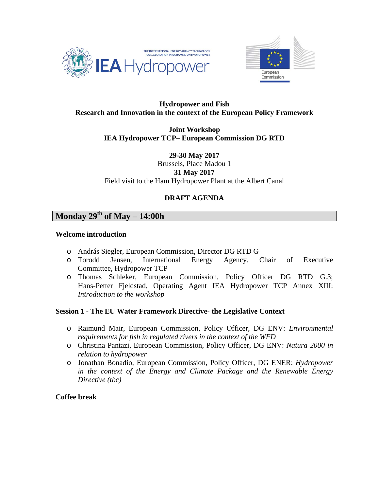



# **Hydropower and Fish Research and Innovation in the context of the European Policy Framework**

**Joint Workshop IEA Hydropower TCP– European Commission DG RTD** 

**29-30 May 2017**  Brussels, Place Madou 1 **31 May 2017**  Field visit to the Ham Hydropower Plant at the Albert Canal

# **DRAFT AGENDA**

# **Monday 29th of May – 14:00h**

## **Welcome introduction**

- o András Siegler, European Commission, Director DG RTD G
- o Torodd Jensen, International Energy Agency, Chair of Executive Committee, Hydropower TCP
- o Thomas Schleker, European Commission, Policy Officer DG RTD G.3; Hans-Petter Fjeldstad, Operating Agent IEA Hydropower TCP Annex XIII: *Introduction to the workshop*

## **Session 1 - The EU Water Framework Directive- the Legislative Context**

- o Raimund Mair, European Commission, Policy Officer, DG ENV: *Environmental requirements for fish in regulated rivers in the context of the WFD*
- o Christina Pantazi, European Commission, Policy Officer, DG ENV: *Natura 2000 in relation to hydropower*
- o Jonathan Bonadio, European Commission, Policy Officer, DG ENER: *Hydropower in the context of the Energy and Climate Package and the Renewable Energy Directive (tbc)*

# **Coffee break**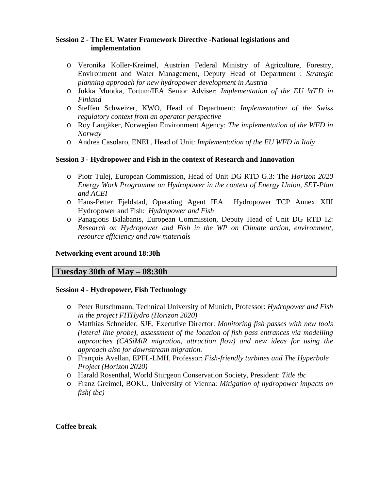# **Session 2 - The EU Water Framework Directive -National legislations and implementation**

- o Veronika Koller-Kreimel, Austrian Federal Ministry of Agriculture, Forestry, Environment and Water Management, Deputy Head of Department : *Strategic planning approach for new hydropower development in Austria*
- o Jukka Muotka, Fortum/IEA Senior Adviser: *Implementation of the EU WFD in Finland*
- o Steffen Schweizer, KWO, Head of Department: *Implementation of the Swiss regulatory context from an operator perspective*
- o Roy Langåker, Norwegian Environment Agency: *The implementation of the WFD in Norway*
- o Andrea Casolaro, ENEL, Head of Unit: *Implementation of the EU WFD in Italy*

# **Session 3 - Hydropower and Fish in the context of Research and Innovation**

- o Piotr Tulej, European Commission, Head of Unit DG RTD G.3: The *Horizon 2020 Energy Work Programme on Hydropower in the context of Energy Union, SET-Plan and ACEI*
- o Hans-Petter Fjeldstad, Operating Agent IEA Hydropower TCP Annex XIII Hydropower and Fish: *Hydropower and Fish*
- o Panagiotis Balabanis, European Commission, Deputy Head of Unit DG RTD I2: *Research on Hydropower and Fish in the WP on Climate action, environment, resource efficiency and raw materials*

## **Networking event around 18:30h**

# **Tuesday 30th of May – 08:30h**

## **Session 4 - Hydropower, Fish Technology**

- o Peter Rutschmann, Technical University of Munich, Professor: *Hydropower and Fish in the project FITHydro (Horizon 2020)*
- o Matthias Schneider, SJE, Executive Director: *Monitoring fish passes with new tools (lateral line probe), assessment of the location of fish pass entrances via modelling approaches (CASiMiR migration, attraction flow) and new ideas for using the approach also for downstream migration.*
- o François Avellan, EPFL-LMH, Professor: *Fish-friendly turbines and The Hyperbole Project (Horizon 2020)*
- o Harald Rosenthal, World Sturgeon Conservation Society, President: *Title tbc*
- o Franz Greimel, BOKU, University of Vienna: *Mitigation of hydropower impacts on fish( tbc)*

## **Coffee break**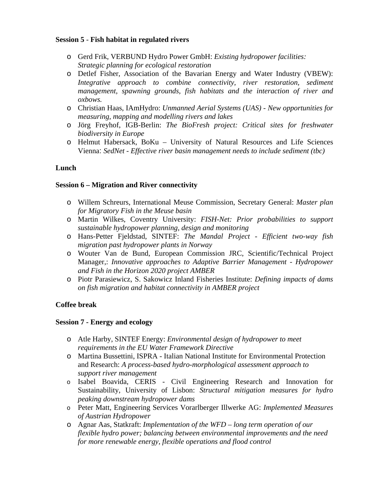## **Session 5** - **Fish habitat in regulated rivers**

- o Gerd Frik, VERBUND Hydro Power GmbH: *Existing hydropower facilities: Strategic planning for ecological restoration*
- o Detlef Fisher, Association of the Bavarian Energy and Water Industry (VBEW): *Integrative approach to combine connectivity, river restoration, sediment management, spawning grounds, fish habitats and the interaction of river and oxbows.*
- o Christian Haas, IAmHydro: *Unmanned Aerial Systems (UAS) New opportunities for measuring, mapping and modelling rivers and lakes*
- o Jörg Freyhof, IGB-Berlin: *The BioFresh project: Critical sites for freshwater biodiversity in Europe*
- o Helmut Habersack, BoKu University of Natural Resources and Life Sciences Vienna: *SedNet - Effective river basin management needs to include sediment (tbc)*

# **Lunch**

## **Session 6 – Migration and River connectivity**

- o Willem Schreurs, International Meuse Commission, Secretary General: *Master plan for Migratory Fish in the Meuse basin*
- o Martin Wilkes, Coventry University: *FISH-Net: Prior probabilities to support sustainable hydropower planning, design and monitoring*
- o Hans-Petter Fjeldstad, SINTEF: *The Mandal Project Efficient two-way fish migration past hydropower plants in Norway*
- o Wouter Van de Bund, European Commission JRC, Scientific/Technical Project Manager,: *Innovative approaches to Adaptive Barrier Management - Hydropower and Fish in the Horizon 2020 project AMBER*
- o Piotr Parasiewicz, S. Sakowicz Inland Fisheries Institute: *Defining impacts of dams on fish migration and habitat connectivity in AMBER project*

# **Coffee break**

## **Session 7 - Energy and ecology**

- o Atle Harby, SINTEF Energy: *Environmental design of hydropower to meet requirements in the EU Water Framework Directive*
- o Martina Bussettini, ISPRA Italian National Institute for Environmental Protection and Research: *A process-based hydro-morphological assessment approach to support river management*
- o Isabel Boavida, CERIS Civil Engineering Research and Innovation for Sustainability, University of Lisbon: *Structural mitigation measures for hydro peaking downstream hydropower dams*
- o Peter Matt, Engineering Services Vorarlberger Illwerke AG: *Implemented Measures of Austrian Hydropower*
- o Agnar Aas, Statkraft: *Implementation of the WFD long term operation of our flexible hydro power; balancing between environmental improvements and the need for more renewable energy, flexible operations and flood control*